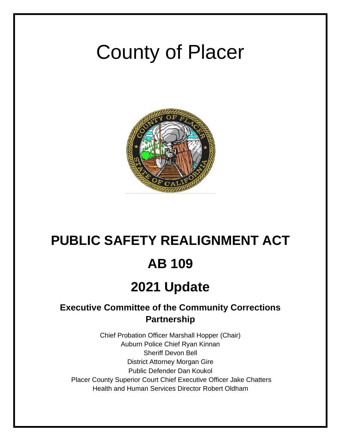# County of Placer



# **PUBLIC SAFETY REALIGNMENT ACT AB 109 2021 Update**

# **Executive Committee of the Community Corrections Partnership**

Chief Probation Officer Marshall Hopper (Chair) Auburn Police Chief Ryan Kinnan Sheriff Devon Bell District Attorney Morgan Gire Public Defender Dan Koukol Placer County Superior Court Chief Executive Officer Jake Chatters Health and Human Services Director Robert Oldham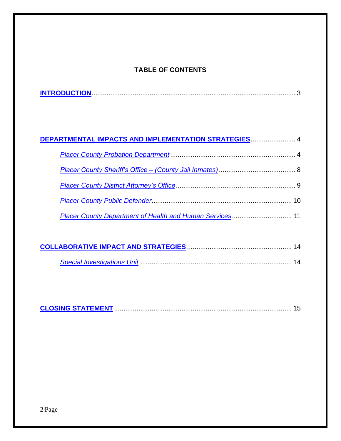## **TABLE OF CONTENTS**

| DEPARTMENTAL IMPACTS AND IMPLEMENTATION STRATEGIES 4 |  |
|------------------------------------------------------|--|
|                                                      |  |
|                                                      |  |
|                                                      |  |
|                                                      |  |
|                                                      |  |

|--|--|--|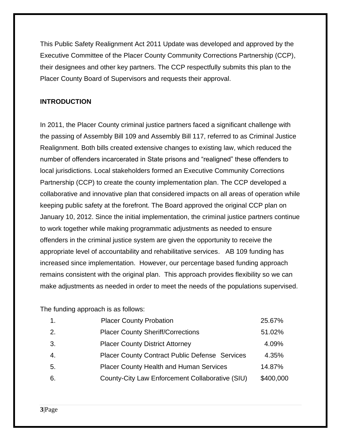This Public Safety Realignment Act 2011 Update was developed and approved by the Executive Committee of the Placer County Community Corrections Partnership (CCP), their designees and other key partners. The CCP respectfully submits this plan to the Placer County Board of Supervisors and requests their approval.

#### <span id="page-2-0"></span>**INTRODUCTION**

In 2011, the Placer County criminal justice partners faced a significant challenge with the passing of Assembly Bill 109 and Assembly Bill 117, referred to as Criminal Justice Realignment. Both bills created extensive changes to existing law, which reduced the number of offenders incarcerated in State prisons and "realigned" these offenders to local jurisdictions. Local stakeholders formed an Executive Community Corrections Partnership (CCP) to create the county implementation plan. The CCP developed a collaborative and innovative plan that considered impacts on all areas of operation while keeping public safety at the forefront. The Board approved the original CCP plan on January 10, 2012. Since the initial implementation, the criminal justice partners continue to work together while making programmatic adjustments as needed to ensure offenders in the criminal justice system are given the opportunity to receive the appropriate level of accountability and rehabilitative services. AB 109 funding has increased since implementation. However, our percentage based funding approach remains consistent with the original plan. This approach provides flexibility so we can make adjustments as needed in order to meet the needs of the populations supervised.

The funding approach is as follows:

| $\mathbf{1}$ . | <b>Placer County Probation</b>                        | 25.67%    |
|----------------|-------------------------------------------------------|-----------|
| 2.             | <b>Placer County Sheriff/Corrections</b>              | 51.02%    |
| 3.             | <b>Placer County District Attorney</b>                | 4.09%     |
| 4.             | <b>Placer County Contract Public Defense Services</b> | 4.35%     |
| 5.             | <b>Placer County Health and Human Services</b>        | 14.87%    |
| 6.             | County-City Law Enforcement Collaborative (SIU)       | \$400,000 |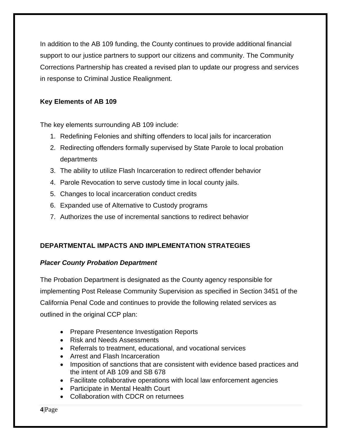In addition to the AB 109 funding, the County continues to provide additional financial support to our justice partners to support our citizens and community. The Community Corrections Partnership has created a revised plan to update our progress and services in response to Criminal Justice Realignment.

### **Key Elements of AB 109**

The key elements surrounding AB 109 include:

- 1. Redefining Felonies and shifting offenders to local jails for incarceration
- 2. Redirecting offenders formally supervised by State Parole to local probation departments
- 3. The ability to utilize Flash Incarceration to redirect offender behavior
- 4. Parole Revocation to serve custody time in local county jails.
- 5. Changes to local incarceration conduct credits
- 6. Expanded use of Alternative to Custody programs
- 7. Authorizes the use of incremental sanctions to redirect behavior

### <span id="page-3-0"></span>**DEPARTMENTAL IMPACTS AND IMPLEMENTATION STRATEGIES**

#### <span id="page-3-1"></span>*Placer County Probation Department*

The Probation Department is designated as the County agency responsible for implementing Post Release Community Supervision as specified in Section 3451 of the California Penal Code and continues to provide the following related services as outlined in the original CCP plan:

- Prepare Presentence Investigation Reports
- Risk and Needs Assessments
- Referrals to treatment, educational, and vocational services
- Arrest and Flash Incarceration
- Imposition of sanctions that are consistent with evidence based practices and the intent of AB 109 and SB 678
- Facilitate collaborative operations with local law enforcement agencies
- Participate in Mental Health Court
- Collaboration with CDCR on returnees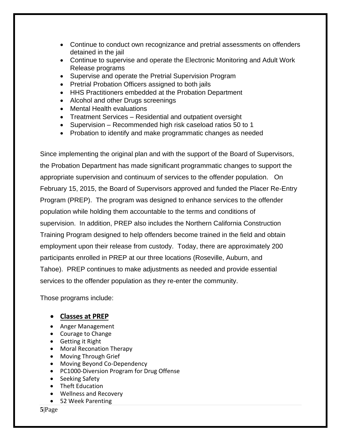- Continue to conduct own recognizance and pretrial assessments on offenders detained in the jail
- Continue to supervise and operate the Electronic Monitoring and Adult Work Release programs
- Supervise and operate the Pretrial Supervision Program
- Pretrial Probation Officers assigned to both jails
- HHS Practitioners embedded at the Probation Department
- Alcohol and other Drugs screenings
- Mental Health evaluations
- Treatment Services Residential and outpatient oversight
- Supervision Recommended high risk caseload ratios 50 to 1
- Probation to identify and make programmatic changes as needed

Since implementing the original plan and with the support of the Board of Supervisors, the Probation Department has made significant programmatic changes to support the appropriate supervision and continuum of services to the offender population. On February 15, 2015, the Board of Supervisors approved and funded the Placer Re-Entry Program (PREP). The program was designed to enhance services to the offender population while holding them accountable to the terms and conditions of supervision. In addition, PREP also includes the Northern California Construction Training Program designed to help offenders become trained in the field and obtain employment upon their release from custody. Today, there are approximately 200 participants enrolled in PREP at our three locations (Roseville, Auburn, and Tahoe). PREP continues to make adjustments as needed and provide essential services to the offender population as they re-enter the community.

Those programs include:

#### • **Classes at PREP**

- Anger Management
- Courage to Change
- Getting it Right
- Moral Reconation Therapy
- Moving Through Grief
- Moving Beyond Co-Dependency
- PC1000-Diversion Program for Drug Offense
- Seeking Safety
- Theft Education
- Wellness and Recovery
- 52 Week Parenting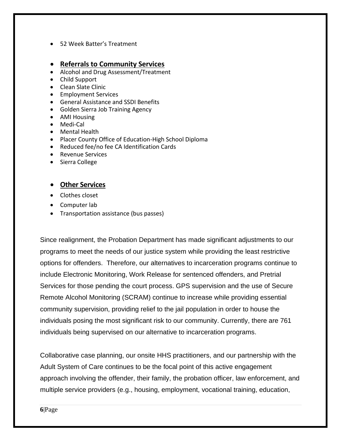• 52 Week Batter's Treatment

#### • **Referrals to Community Services**

- Alcohol and Drug Assessment/Treatment
- Child Support
- Clean Slate Clinic
- Employment Services
- General Assistance and SSDI Benefits
- Golden Sierra Job Training Agency
- AMI Housing
- Medi-Cal
- Mental Health
- Placer County Office of Education-High School Diploma
- Reduced fee/no fee CA Identification Cards
- Revenue Services
- Sierra College

#### • **Other Services**

- Clothes closet
- Computer lab
- Transportation assistance (bus passes)

Since realignment, the Probation Department has made significant adjustments to our programs to meet the needs of our justice system while providing the least restrictive options for offenders. Therefore, our alternatives to incarceration programs continue to include Electronic Monitoring, Work Release for sentenced offenders, and Pretrial Services for those pending the court process. GPS supervision and the use of Secure Remote Alcohol Monitoring (SCRAM) continue to increase while providing essential community supervision, providing relief to the jail population in order to house the individuals posing the most significant risk to our community. Currently, there are 761 individuals being supervised on our alternative to incarceration programs.

Collaborative case planning, our onsite HHS practitioners, and our partnership with the Adult System of Care continues to be the focal point of this active engagement approach involving the offender, their family, the probation officer, law enforcement, and multiple service providers (e.g., housing, employment, vocational training, education,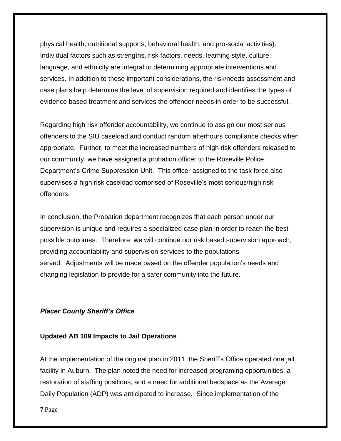physical health, nutritional supports, behavioral health, and pro-social activities). Individual factors such as strengths, risk factors, needs, learning style, culture, language, and ethnicity are integral to determining appropriate interventions and services. In addition to these important considerations, the risk/needs assessment and case plans help determine the level of supervision required and identifies the types of evidence based treatment and services the offender needs in order to be successful.

Regarding high risk offender accountability, we continue to assign our most serious offenders to the SIU caseload and conduct random afterhours compliance checks when appropriate. Further, to meet the increased numbers of high risk offenders released to our community, we have assigned a probation officer to the Roseville Police Department's Crime Suppression Unit. This officer assigned to the task force also supervises a high risk caseload comprised of Roseville's most serious/high risk offenders.

In conclusion, the Probation department recognizes that each person under our supervision is unique and requires a specialized case plan in order to reach the best possible outcomes. Therefore, we will continue our risk based supervision approach, providing accountability and supervision services to the populations served. Adjustments will be made based on the offender population's needs and changing legislation to provide for a safer community into the future.

#### <span id="page-6-0"></span>*Placer County Sheriff's Office*

#### **Updated AB 109 Impacts to Jail Operations**

At the implementation of the original plan in 2011, the Sheriff's Office operated one jail facility in Auburn. The plan noted the need for increased programing opportunities, a restoration of staffing positions, and a need for additional bedspace as the Average Daily Population (ADP) was anticipated to increase. Since implementation of the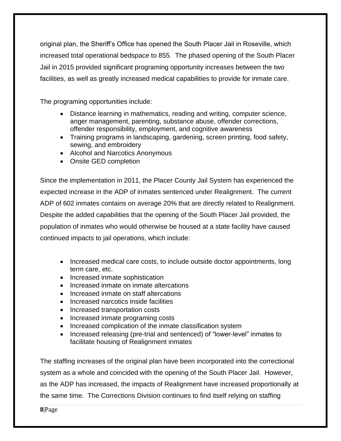original plan, the Sheriff's Office has opened the South Placer Jail in Roseville, which increased total operational bedspace to 855. The phased opening of the South Placer Jail in 2015 provided significant programing opportunity increases between the two facilities, as well as greatly increased medical capabilities to provide for inmate care.

The programing opportunities include:

- Distance learning in mathematics, reading and writing, computer science, anger management, parenting, substance abuse, offender corrections, offender responsibility, employment, and cognitive awareness
- Training programs in landscaping, gardening, screen printing, food safety, sewing, and embroidery
- Alcohol and Narcotics Anonymous
- Onsite GED completion

Since the implementation in 2011, the Placer County Jail System has experienced the expected increase in the ADP of inmates sentenced under Realignment. The current ADP of 602 inmates contains on average 20% that are directly related to Realignment. Despite the added capabilities that the opening of the South Placer Jail provided, the population of inmates who would otherwise be housed at a state facility have caused continued impacts to jail operations, which include:

- Increased medical care costs, to include outside doctor appointments, long term care, etc.
- Increased inmate sophistication
- Increased inmate on inmate altercations
- Increased inmate on staff altercations
- Increased narcotics inside facilities
- Increased transportation costs
- Increased inmate programing costs
- Increased complication of the inmate classification system
- Increased releasing (pre-trial and sentenced) of "lower-level" inmates to facilitate housing of Realignment inmates

The staffing increases of the original plan have been incorporated into the correctional system as a whole and coincided with the opening of the South Placer Jail. However, as the ADP has increased, the impacts of Realignment have increased proportionally at the same time. The Corrections Division continues to find itself relying on staffing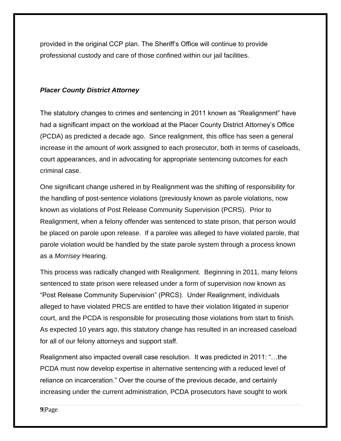provided in the original CCP plan. The Sheriff's Office will continue to provide professional custody and care of those confined within our jail facilities.

#### <span id="page-8-1"></span><span id="page-8-0"></span>*Placer County District Attorney*

The statutory changes to crimes and sentencing in 2011 known as "Realignment" have had a significant impact on the workload at the Placer County District Attorney's Office (PCDA) as predicted a decade ago. Since realignment, this office has seen a general increase in the amount of work assigned to each prosecutor, both in terms of caseloads, court appearances, and in advocating for appropriate sentencing outcomes for each criminal case.

One significant change ushered in by Realignment was the shifting of responsibility for the handling of post-sentence violations (previously known as parole violations, now known as violations of Post Release Community Supervision (PCRS). Prior to Realignment, when a felony offender was sentenced to state prison, that person would be placed on parole upon release. If a parolee was alleged to have violated parole, that parole violation would be handled by the state parole system through a process known as a *Morrisey* Hearing.

This process was radically changed with Realignment. Beginning in 2011, many felons sentenced to state prison were released under a form of supervision now known as "Post Release Community Supervision" (PRCS). Under Realignment, individuals alleged to have violated PRCS are entitled to have their violation litigated in superior court, and the PCDA is responsible for prosecuting those violations from start to finish. As expected 10 years ago, this statutory change has resulted in an increased caseload for all of our felony attorneys and support staff.

Realignment also impacted overall case resolution. It was predicted in 2011: "…the PCDA must now develop expertise in alternative sentencing with a reduced level of reliance on incarceration." Over the course of the previous decade, and certainly increasing under the current administration, PCDA prosecutors have sought to work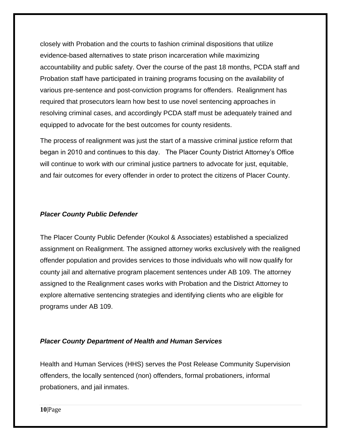closely with Probation and the courts to fashion criminal dispositions that utilize evidence-based alternatives to state prison incarceration while maximizing accountability and public safety. Over the course of the past 18 months, PCDA staff and Probation staff have participated in training programs focusing on the availability of various pre-sentence and post-conviction programs for offenders. Realignment has required that prosecutors learn how best to use novel sentencing approaches in resolving criminal cases, and accordingly PCDA staff must be adequately trained and equipped to advocate for the best outcomes for county residents.

The process of realignment was just the start of a massive criminal justice reform that began in 2010 and continues to this day. The Placer County District Attorney's Office will continue to work with our criminal justice partners to advocate for just, equitable, and fair outcomes for every offender in order to protect the citizens of Placer County.

#### *Placer County Public Defender*

The Placer County Public Defender (Koukol & Associates) established a specialized assignment on Realignment. The assigned attorney works exclusively with the realigned offender population and provides services to those individuals who will now qualify for county jail and alternative program placement sentences under AB 109. The attorney assigned to the Realignment cases works with Probation and the District Attorney to explore alternative sentencing strategies and identifying clients who are eligible for programs under AB 109.

#### <span id="page-9-0"></span>*Placer County Department of Health and Human Services*

Health and Human Services (HHS) serves the Post Release Community Supervision offenders, the locally sentenced (non) offenders, formal probationers, informal probationers, and jail inmates.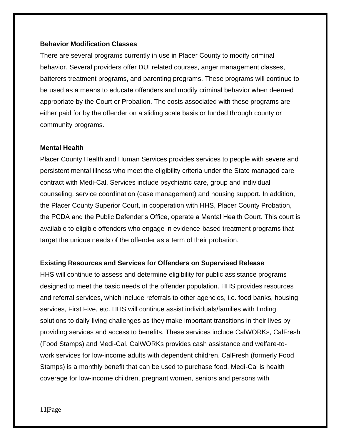#### **Behavior Modification Classes**

There are several programs currently in use in Placer County to modify criminal behavior. Several providers offer DUI related courses, anger management classes, batterers treatment programs, and parenting programs. These programs will continue to be used as a means to educate offenders and modify criminal behavior when deemed appropriate by the Court or Probation. The costs associated with these programs are either paid for by the offender on a sliding scale basis or funded through county or community programs.

#### **Mental Health**

Placer County Health and Human Services provides services to people with severe and persistent mental illness who meet the eligibility criteria under the State managed care contract with Medi-Cal. Services include psychiatric care, group and individual counseling, service coordination (case management) and housing support. In addition, the Placer County Superior Court, in cooperation with HHS, Placer County Probation, the PCDA and the Public Defender's Office, operate a Mental Health Court. This court is available to eligible offenders who engage in evidence-based treatment programs that target the unique needs of the offender as a term of their probation.

#### **Existing Resources and Services for Offenders on Supervised Release**

HHS will continue to assess and determine eligibility for public assistance programs designed to meet the basic needs of the offender population. HHS provides resources and referral services, which include referrals to other agencies, i.e. food banks, housing services, First Five, etc. HHS will continue assist individuals/families with finding solutions to daily-living challenges as they make important transitions in their lives by providing services and access to benefits. These services include CalWORKs, CalFresh (Food Stamps) and Medi-Cal. CalWORKs provides cash assistance and welfare-towork services for low-income adults with dependent children. CalFresh (formerly Food Stamps) is a monthly benefit that can be used to purchase food. Medi-Cal is health coverage for low-income children, pregnant women, seniors and persons with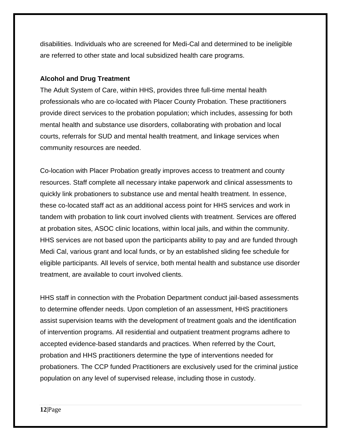disabilities. Individuals who are screened for Medi-Cal and determined to be ineligible are referred to other state and local subsidized health care programs.

#### **Alcohol and Drug Treatment**

The Adult System of Care, within HHS, provides three full-time mental health professionals who are co-located with Placer County Probation. These practitioners provide direct services to the probation population; which includes, assessing for both mental health and substance use disorders, collaborating with probation and local courts, referrals for SUD and mental health treatment, and linkage services when community resources are needed.

Co-location with Placer Probation greatly improves access to treatment and county resources. Staff complete all necessary intake paperwork and clinical assessments to quickly link probationers to substance use and mental health treatment. In essence, these co-located staff act as an additional access point for HHS services and work in tandem with probation to link court involved clients with treatment. Services are offered at probation sites, ASOC clinic locations, within local jails, and within the community. HHS services are not based upon the participants ability to pay and are funded through Medi Cal, various grant and local funds, or by an established sliding fee schedule for eligible participants. All levels of service, both mental health and substance use disorder treatment, are available to court involved clients.

HHS staff in connection with the Probation Department conduct jail-based assessments to determine offender needs. Upon completion of an assessment, HHS practitioners assist supervision teams with the development of treatment goals and the identification of intervention programs. All residential and outpatient treatment programs adhere to accepted evidence-based standards and practices. When referred by the Court, probation and HHS practitioners determine the type of interventions needed for probationers. The CCP funded Practitioners are exclusively used for the criminal justice population on any level of supervised release, including those in custody.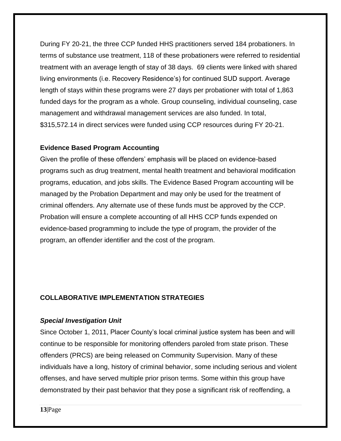During FY 20-21, the three CCP funded HHS practitioners served 184 probationers. In terms of substance use treatment, 118 of these probationers were referred to residential treatment with an average length of stay of 38 days. 69 clients were linked with shared living environments (i.e. Recovery Residence's) for continued SUD support. Average length of stays within these programs were 27 days per probationer with total of 1,863 funded days for the program as a whole. Group counseling, individual counseling, case management and withdrawal management services are also funded. In total, \$315,572.14 in direct services were funded using CCP resources during FY 20-21.

#### **Evidence Based Program Accounting**

Given the profile of these offenders' emphasis will be placed on evidence-based programs such as drug treatment, mental health treatment and behavioral modification programs, education, and jobs skills. The Evidence Based Program accounting will be managed by the Probation Department and may only be used for the treatment of criminal offenders. Any alternate use of these funds must be approved by the CCP. Probation will ensure a complete accounting of all HHS CCP funds expended on evidence-based programming to include the type of program, the provider of the program, an offender identifier and the cost of the program.

#### <span id="page-12-0"></span>**COLLABORATIVE IMPLEMENTATION STRATEGIES**

#### <span id="page-12-1"></span>*Special Investigation Unit*

Since October 1, 2011, Placer County's local criminal justice system has been and will continue to be responsible for monitoring offenders paroled from state prison. These offenders (PRCS) are being released on Community Supervision. Many of these individuals have a long, history of criminal behavior, some including serious and violent offenses, and have served multiple prior prison terms. Some within this group have demonstrated by their past behavior that they pose a significant risk of reoffending, a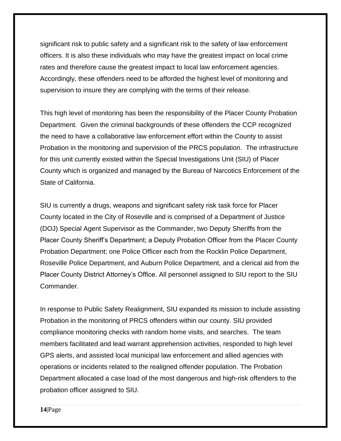significant risk to public safety and a significant risk to the safety of law enforcement officers. It is also these individuals who may have the greatest impact on local crime rates and therefore cause the greatest impact to local law enforcement agencies. Accordingly, these offenders need to be afforded the highest level of monitoring and supervision to insure they are complying with the terms of their release.

This high level of monitoring has been the responsibility of the Placer County Probation Department. Given the criminal backgrounds of these offenders the CCP recognized the need to have a collaborative law enforcement effort within the County to assist Probation in the monitoring and supervision of the PRCS population. The infrastructure for this unit currently existed within the Special Investigations Unit (SIU) of Placer County which is organized and managed by the Bureau of Narcotics Enforcement of the State of California.

SIU is currently a drugs, weapons and significant safety risk task force for Placer County located in the City of Roseville and is comprised of a Department of Justice (DOJ) Special Agent Supervisor as the Commander, two Deputy Sheriffs from the Placer County Sheriff's Department; a Deputy Probation Officer from the Placer County Probation Department; one Police Officer each from the Rocklin Police Department, Roseville Police Department, and Auburn Police Department, and a clerical aid from the Placer County District Attorney's Office. All personnel assigned to SIU report to the SIU Commander.

In response to Public Safety Realignment, SIU expanded its mission to include assisting Probation in the monitoring of PRCS offenders within our county. SIU provided compliance monitoring checks with random home visits, and searches. The team members facilitated and lead warrant apprehension activities, responded to high level GPS alerts, and assisted local municipal law enforcement and allied agencies with operations or incidents related to the realigned offender population. The Probation Department allocated a case load of the most dangerous and high-risk offenders to the probation officer assigned to SIU.